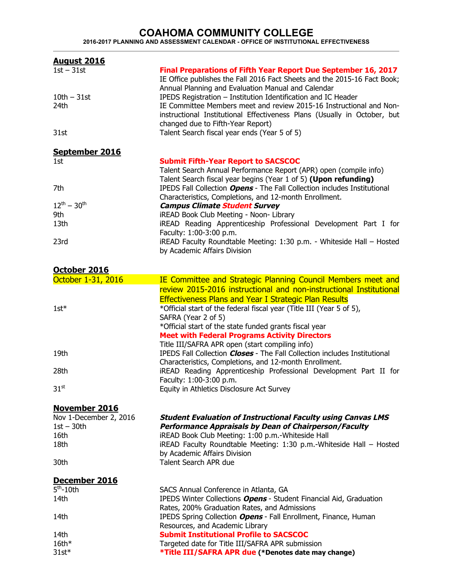## **COAHOMA COMMUNITY COLLEGE 2016-2017 PLANNING AND ASSESSMENT CALENDAR - OFFICE OF INSTITUTIONAL EFFECTIVENESS**

| <b>August 2016</b>     |                                                                                                                                                                                                  |
|------------------------|--------------------------------------------------------------------------------------------------------------------------------------------------------------------------------------------------|
| $1st - 31st$           | Final Preparations of Fifth Year Report Due September 16, 2017<br>IE Office publishes the Fall 2016 Fact Sheets and the 2015-16 Fact Book;<br>Annual Planning and Evaluation Manual and Calendar |
| $10th - 31st$          | IPEDS Registration - Institution Identification and IC Header                                                                                                                                    |
| 24th                   | IE Committee Members meet and review 2015-16 Instructional and Non-                                                                                                                              |
|                        | instructional Institutional Effectiveness Plans (Usually in October, but<br>changed due to Fifth-Year Report)                                                                                    |
| 31st                   | Talent Search fiscal year ends (Year 5 of 5)                                                                                                                                                     |
| September 2016         |                                                                                                                                                                                                  |
| 1st                    | <b>Submit Fifth-Year Report to SACSCOC</b><br>Talent Search Annual Performance Report (APR) open (compile info)<br>Talent Search fiscal year begins (Year 1 of 5) (Upon refunding)               |
| 7th                    | IPEDS Fall Collection Opens - The Fall Collection includes Institutional<br>Characteristics, Completions, and 12-month Enrollment.                                                               |
| $12^{th} - 30^{th}$    | <b>Campus Climate Student Survey</b>                                                                                                                                                             |
| 9th                    | iREAD Book Club Meeting - Noon- Library                                                                                                                                                          |
| 13th                   | iREAD Reading Apprenticeship Professional Development Part I for<br>Faculty: 1:00-3:00 p.m.                                                                                                      |
| 23rd                   | iREAD Faculty Roundtable Meeting: 1:30 p.m. - Whiteside Hall - Hosted                                                                                                                            |
|                        | by Academic Affairs Division                                                                                                                                                                     |
| October 2016           |                                                                                                                                                                                                  |
| October 1-31, 2016     | IE Committee and Strategic Planning Council Members meet and                                                                                                                                     |
|                        | review 2015-2016 instructional and non-instructional Institutional                                                                                                                               |
|                        | <b>Effectiveness Plans and Year I Strategic Plan Results</b>                                                                                                                                     |
| $1$ st $*$             | *Official start of the federal fiscal year (Title III (Year 5 of 5),                                                                                                                             |
|                        | SAFRA (Year 2 of 5)                                                                                                                                                                              |
|                        | *Official start of the state funded grants fiscal year                                                                                                                                           |
|                        | <b>Meet with Federal Programs Activity Directors</b><br>Title III/SAFRA APR open (start compiling info)                                                                                          |
| 19th                   | IPEDS Fall Collection Closes - The Fall Collection includes Institutional                                                                                                                        |
|                        | Characteristics, Completions, and 12-month Enrollment.                                                                                                                                           |
| 28th                   | iREAD Reading Apprenticeship Professional Development Part II for                                                                                                                                |
|                        | Faculty: 1:00-3:00 p.m.                                                                                                                                                                          |
| $31^{st}$              | Equity in Athletics Disclosure Act Survey                                                                                                                                                        |
| <b>November 2016</b>   |                                                                                                                                                                                                  |
| Nov 1-December 2, 2016 | <b>Student Evaluation of Instructional Faculty using Canvas LMS</b>                                                                                                                              |
| $1st - 30th$           | <b>Performance Appraisals by Dean of Chairperson/Faculty</b>                                                                                                                                     |
| 16th                   | iREAD Book Club Meeting: 1:00 p.m.-Whiteside Hall                                                                                                                                                |
| 18th                   | iREAD Faculty Roundtable Meeting: 1:30 p.m.-Whiteside Hall - Hosted<br>by Academic Affairs Division                                                                                              |
| 30th                   | Talent Search APR due                                                                                                                                                                            |
| December 2016          |                                                                                                                                                                                                  |
|                        |                                                                                                                                                                                                  |

| PCCCIIIDCI EVIV       |                                                                    |
|-----------------------|--------------------------------------------------------------------|
| $5^{\text{th}}$ -10th | SACS Annual Conference in Atlanta, GA                              |
| 14th                  | IPEDS Winter Collections Opens - Student Financial Aid, Graduation |
|                       | Rates, 200% Graduation Rates, and Admissions                       |
| 14th                  | IPEDS Spring Collection Opens - Fall Enrollment, Finance, Human    |
|                       | Resources, and Academic Library                                    |
| 14th                  | <b>Submit Institutional Profile to SACSCOC</b>                     |
| $16th*$               | Targeted date for Title III/SAFRA APR submission                   |
| $31st*$               | *Title III/SAFRA APR due (*Denotes date may change)                |
|                       |                                                                    |